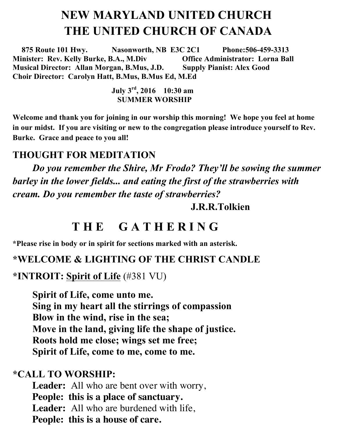# **NEW MARYLAND UNITED CHURCH THE UNITED CHURCH OF CANADA**

 **875 Route 101 Hwy. Nasonworth, NB E3C 2C1 Phone:506-459-3313 Minister: Rev. Kelly Burke, B.A., M.Div Office Administrator: Lorna Ball Musical Director: Allan Morgan, B.Mus, J.D. Supply Pianist: Alex Good Choir Director: Carolyn Hatt, B.Mus, B.Mus Ed, M.Ed**

> **July 3rd , 2016 10:30 am SUMMER WORSHIP**

**Welcome and thank you for joining in our worship this morning! We hope you feel at home in our midst. If you are visiting or new to the congregation please introduce yourself to Rev. Burke. Grace and peace to you all!** 

#### **THOUGHT FOR MEDITATION**

*Do you remember the Shire, Mr Frodo? They'll be sowing the summer barley in the lower fields... and eating the first of the strawberries with cream. Do you remember the taste of strawberries?*

#### **J.R.R.Tolkien**

### **T H E G A T H E R I N G**

**\*Please rise in body or in spirit for sections marked with an asterisk.**

#### **\*WELCOME & LIGHTING OF THE CHRIST CANDLE**

**\*INTROIT: Spirit of Life** (#381 VU)

**Spirit of Life, come unto me. Sing in my heart all the stirrings of compassion Blow in the wind, rise in the sea; Move in the land, giving life the shape of justice. Roots hold me close; wings set me free; Spirit of Life, come to me, come to me.**

#### **\*CALL TO WORSHIP:**

**Leader:** All who are bent over with worry, **People: this is a place of sanctuary. Leader:** All who are burdened with life, **People: this is a house of care.**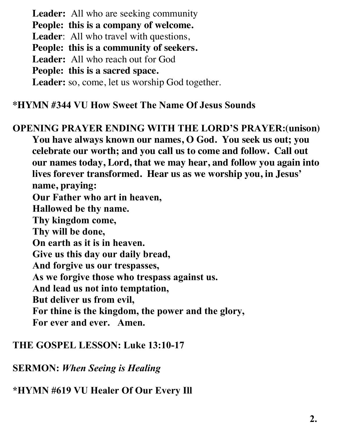**Leader:** All who are seeking community **People: this is a company of welcome. Leader**: All who travel with questions, **People: this is a community of seekers. Leader:** All who reach out for God **People: this is a sacred space. Leader:** so, come, let us worship God together.

#### **\*HYMN #344 VU How Sweet The Name Of Jesus Sounds**

**OPENING PRAYER ENDING WITH THE LORD'S PRAYER:(unison) You have always known our names, O God. You seek us out; you celebrate our worth; and you call us to come and follow. Call out our names today, Lord, that we may hear, and follow you again into lives forever transformed. Hear us as we worship you, in Jesus' name, praying: Our Father who art in heaven, Hallowed be thy name. Thy kingdom come, Thy will be done, On earth as it is in heaven. Give us this day our daily bread,** 

**And forgive us our trespasses,** 

**As we forgive those who trespass against us.** 

**And lead us not into temptation,** 

**But deliver us from evil,** 

**For thine is the kingdom, the power and the glory,** 

**For ever and ever. Amen.**

#### **THE GOSPEL LESSON: Luke 13:10-17**

**SERMON:** *When Seeing is Healing*

**\*HYMN #619 VU Healer Of Our Every Ill**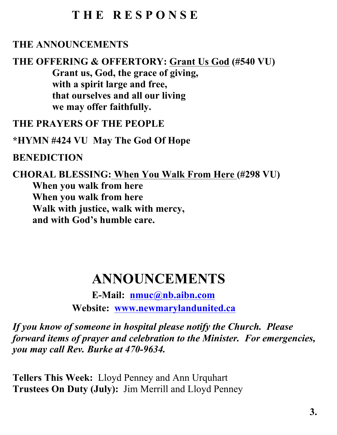## **T H E R E S P O N S E**

### **THE ANNOUNCEMENTS**

**THE OFFERING & OFFERTORY: Grant Us God (#540 VU) Grant us, God, the grace of giving, with a spirit large and free, that ourselves and all our living we may offer faithfully.**

**THE PRAYERS OF THE PEOPLE**

**\*HYMN #424 VU May The God Of Hope**

### **BENEDICTION**

**CHORAL BLESSING: When You Walk From Here (#298 VU) When you walk from here When you walk from here Walk with justice, walk with mercy, and with God's humble care.**

# **ANNOUNCEMENTS**

**E-Mail: nmuc@nb.aibn.com Website: www.newmarylandunited.ca**

*If you know of someone in hospital please notify the Church. Please forward items of prayer and celebration to the Minister. For emergencies, you may call Rev. Burke at 470-9634.*

**Tellers This Week:** Lloyd Penney and Ann Urquhart **Trustees On Duty (July):** Jim Merrill and Lloyd Penney